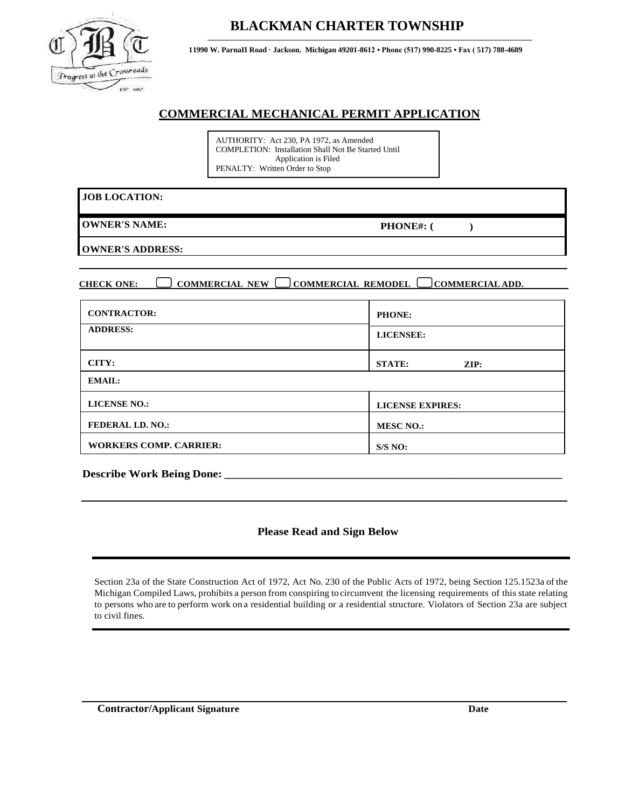

### **BLACKMAN CHARTER TOWNSHIP**

**11990 W. ParnaII Road · Jackson. Michigan 49201-8612 • Phone (517) 990-8225 • Fax ( 517) 788-4689**

#### **COMMERCIAL MECHANICAL PERMIT APPLICATION**

AUTHORITY: Act 230, PA 1972, as Amended COMPLETION: Installation Shall Not Be Started Until Application is Filed PENALTY: Written Order to Stop

**OWNER'S NAME:** 

**PHONE#: ( )**

**OWNER'S ADDRESS:**

**CHECK ONE: COMMERCIAL NEW COMMERCIAL REMODEL COMMERCIAL ADD.**

| <b>CONTRACTOR:</b>            | PHONE:                           |  |  |
|-------------------------------|----------------------------------|--|--|
| <b>ADDRESS:</b>               | <b>LICENSEE:</b>                 |  |  |
| CITY:                         | <b>STATE:</b><br>$\mathbf{ZIP:}$ |  |  |
| <b>EMAIL:</b>                 |                                  |  |  |
| <b>LICENSE NO.:</b>           | <b>LICENSE EXPIRES:</b>          |  |  |
| <b>FEDERAL I.D. NO.:</b>      | <b>MESC NO.:</b>                 |  |  |
| <b>WORKERS COMP. CARRIER:</b> | S/S NO:                          |  |  |

**Describe Work Being Done: \_\_\_\_\_\_\_\_\_\_\_\_\_\_\_\_\_\_\_\_\_\_\_\_\_\_\_\_\_\_\_\_\_\_\_\_\_\_\_\_\_\_\_\_\_\_\_\_\_\_\_\_\_\_\_\_\_\_\_\_\_\_\_** 

#### **Please Read and Sign Below**

Section 23a of the State Construction Act of 1972, Act No. 230 of the Public Acts of 1972, being Section 125.1523a of the Michigan Compiled Laws, prohibits a person from conspiring to circumvent the licensing requirements of this state relating to persons who are to perform work on a residential building or a residential structure. Violators of Section 23a are subject to civil fines.